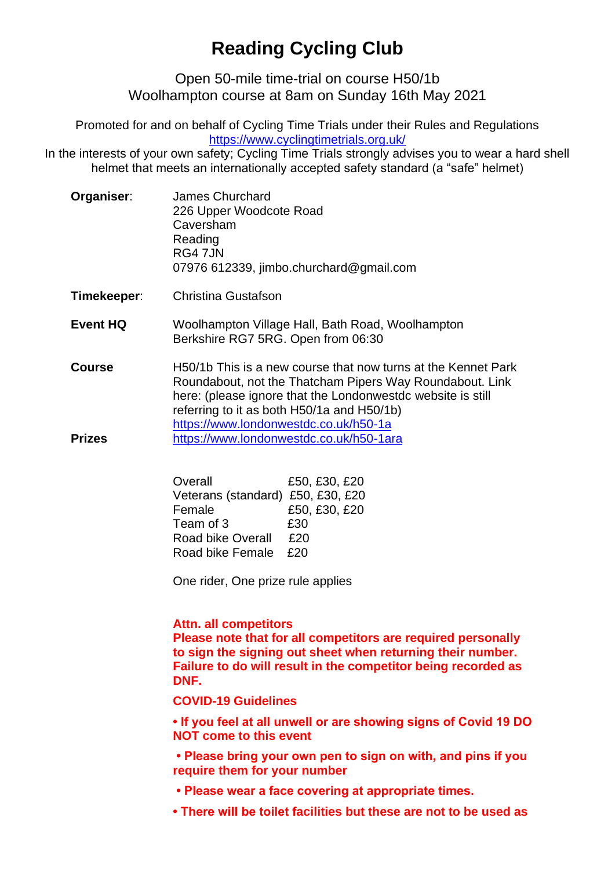## **Reading Cycling Club**

Open 50-mile time-trial on course H50/1b Woolhampton course at 8am on Sunday 16th May 2021

Promoted for and on behalf of Cycling Time Trials under their Rules and Regulations <https://www.cyclingtimetrials.org.uk/>

In the interests of your own safety; Cycling Time Trials strongly advises you to wear a hard shell helmet that meets an internationally accepted safety standard (a "safe" helmet)

| Organiser: | James Churchard                         |
|------------|-----------------------------------------|
|            | 226 Upper Woodcote Road                 |
|            | Caversham                               |
|            | Reading                                 |
|            | RG4 7JN                                 |
|            | 07976 612339, jimbo.churchard@gmail.com |

- **Timekeeper**: Christina Gustafson
- **Event HQ** Woolhampton Village Hall, Bath Road, Woolhampton Berkshire RG7 5RG. Open from 06:30
- **Course Prizes** H50/1b This is a new course that now turns at the Kennet Park Roundabout, not the Thatcham Pipers Way Roundabout. Link here: (please ignore that the Londonwestdc website is still referring to it as both H50/1a and H50/1b) <https://www.londonwestdc.co.uk/h50-1a> <https://www.londonwestdc.co.uk/h50-1ara>

| Overall                           | £50, £30, £20 |
|-----------------------------------|---------------|
| Veterans (standard) £50, £30, £20 |               |
| Female                            | £50, £30, £20 |
| Team of 3                         | £30           |
| <b>Road bike Overall</b>          | £20           |
| Road bike Female                  | £20           |

One rider, One prize rule applies

## **Attn. all competitors**

**Please note that for all competitors are required personally to sign the signing out sheet when returning their number. Failure to do will result in the competitor being recorded as DNF.**

**COVID-19 Guidelines**

**• If you feel at all unwell or are showing signs of Covid 19 DO NOT come to this event**

**• Please bring your own pen to sign on with, and pins if you require them for your number**

- **Please wear a face covering at appropriate times.**
- **There will be toilet facilities but these are not to be used as**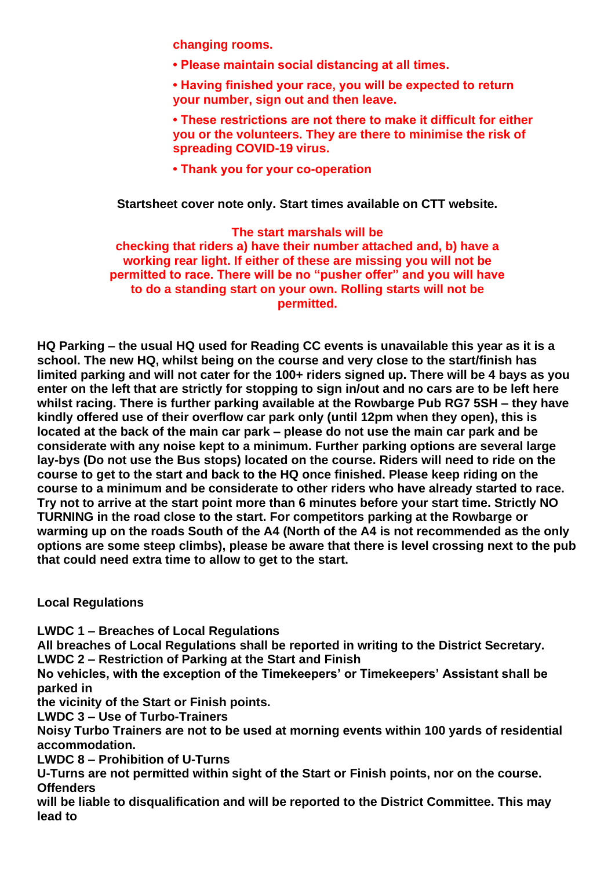**changing rooms.** 

- **Please maintain social distancing at all times.**
- **Having finished your race, you will be expected to return your number, sign out and then leave.**
- **These restrictions are not there to make it difficult for either you or the volunteers. They are there to minimise the risk of spreading COVID-19 virus.**
- **Thank you for your co-operation**

**Startsheet cover note only. Start times available on CTT website.**

## **The start marshals will be**

**checking that riders a) have their number attached and, b) have a working rear light. If either of these are missing you will not be permitted to race. There will be no "pusher offer" and you will have to do a standing start on your own. Rolling starts will not be permitted.**

**HQ Parking – the usual HQ used for Reading CC events is unavailable this year as it is a school. The new HQ, whilst being on the course and very close to the start/finish has limited parking and will not cater for the 100+ riders signed up. There will be 4 bays as you enter on the left that are strictly for stopping to sign in/out and no cars are to be left here whilst racing. There is further parking available at the Rowbarge Pub RG7 5SH – they have kindly offered use of their overflow car park only (until 12pm when they open), this is located at the back of the main car park – please do not use the main car park and be considerate with any noise kept to a minimum. Further parking options are several large lay-bys (Do not use the Bus stops) located on the course. Riders will need to ride on the course to get to the start and back to the HQ once finished. Please keep riding on the course to a minimum and be considerate to other riders who have already started to race. Try not to arrive at the start point more than 6 minutes before your start time. Strictly NO TURNING in the road close to the start. For competitors parking at the Rowbarge or warming up on the roads South of the A4 (North of the A4 is not recommended as the only options are some steep climbs), please be aware that there is level crossing next to the pub that could need extra time to allow to get to the start.** 

**Local Regulations**

**LWDC 1 – Breaches of Local Regulations**

**All breaches of Local Regulations shall be reported in writing to the District Secretary. LWDC 2 – Restriction of Parking at the Start and Finish**

**No vehicles, with the exception of the Timekeepers' or Timekeepers' Assistant shall be parked in** 

**the vicinity of the Start or Finish points.**

**LWDC 3 – Use of Turbo-Trainers**

**Noisy Turbo Trainers are not to be used at morning events within 100 yards of residential accommodation.**

**LWDC 8 – Prohibition of U-Turns**

**U-Turns are not permitted within sight of the Start or Finish points, nor on the course. Offenders**

**will be liable to disqualification and will be reported to the District Committee. This may lead to**